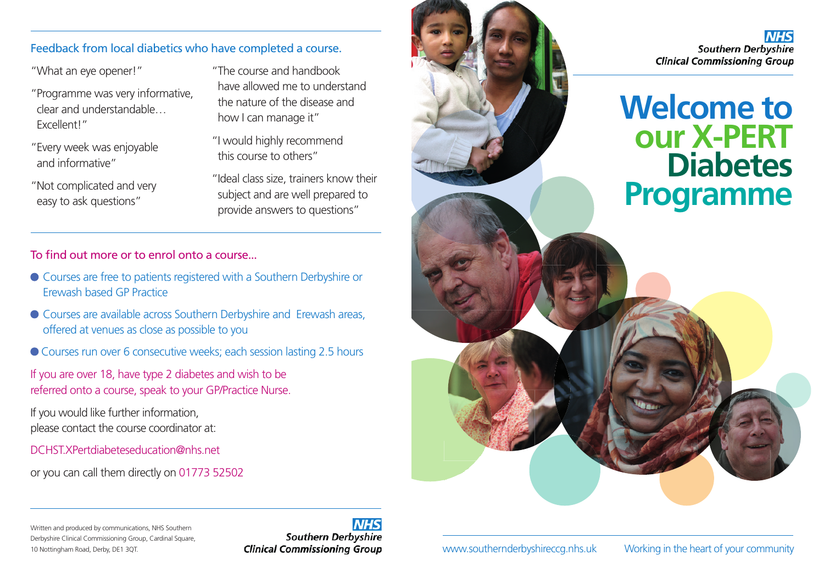#### Feedback from local diabetics who have completed a course.

"What an eye opener!"

- " Programme was very informative, clear and understandable… Excellent!"
- " Every week was enjoyable and informative"
- " Not complicated and very easy to ask questions"
- " The course and handbook have allowed me to understand the nature of the disease and how I can manage it"
- "I would highly recommend this course to others"
- " Ideal class size, trainers know their subject and are well prepared to provide answers to questions"

### To find out more or to enrol onto a course...

- Courses are free to patients registered with a Southern Derbyshire or Erewash based GP Practice
- Courses are available across Southern Derbyshire and Erewash areas, offered at venues as close as possible to you
- Courses run over 6 consecutive weeks; each session lasting 2.5 hours

If you are over 18, have type 2 diabetes and wish to be referred onto a course, speak to your GP/Practice Nurse.

If you would like further information, please contact the course coordinator at:

DCHST.XPertdiabeteseducation@nhs.net

or you can call them directly on 01773 52502



www.southernderbyshireccg.nhs.uk

**Helping you to**

**help**

Working in the heart of your community

NIHS

Written and produced by communications, NHS Southern Derbyshire Clinical Commissioning Group, Cardinal Square, 10 Nottingham Road, Derby, DE1 3QT.

# **Southern Derbyshire Clinical Commissioning Group**